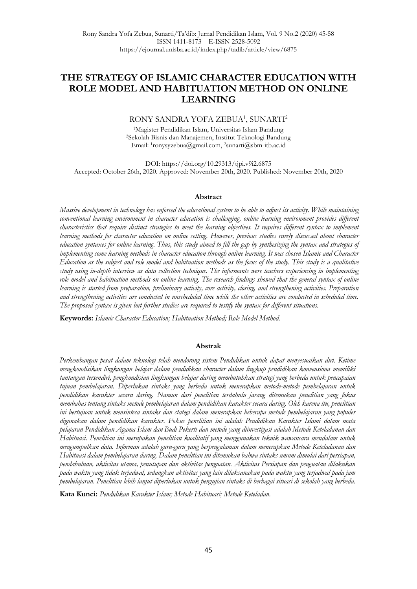# **THE STRATEGY OF ISLAMIC CHARACTER EDUCATION WITH ROLE MODEL AND HABITUATION METHOD ON ONLINE LEARNING**

#### RONY SANDRA YOFA ZEBUA<sup>1</sup>, SUNARTI<sup>2</sup>

<sup>1</sup>Magister Pendidikan Islam, Universitas Islam Bandung <sup>2</sup>Sekolah Bisnis dan Manajemen, Institut Teknologi Bandung Email: <sup>1</sup> ronysyzebua@gmail.com, 2sunarti@sbm-itb.ac.id

DOI: <https://doi.org/10.29313/tjpi.v9i2.6875> Accepted: October 26th, 2020. Approved: November 20th, 2020. Published: November 20th, 2020

#### **Abstract**

*Massive development in technology has enforced the educational system to be able to adjust its activity. While maintaining conventional learning environment in character education is challenging, online learning environment provides different characteristics that require distinct strategies to meet the learning objectives. It requires different syntax to implement learning methods for character education on online setting. However, previous studies rarely discussed about character education syntaxes for online learning. Thus, this study aimed to fill the gap by synthesizing the syntax and strategies of implementing some learning methods in character education through online learning. It was chosen Islamic and Character Education as the subject and role model and habituation methods as the focus of the study. This study is a qualitative study using in-depth interview as data collection technique. The informants were teachers experiencing in implementing role model and habituation methods on online learning. The research findings showed that the general syntax of online learning is started from preparation, preliminary activity, core activity, closing, and strengthening activities. Preparation and strengthening activities are conducted in unscheduled time while the other activities are conducted in scheduled time. The proposed syntax is given but further studies are required to testify the syntax for different situations.* 

**Keywords:** *Islamic Character Education; Habituation Method; Role Model Method.*

#### **Abstrak**

*Perkembangan pesat dalam teknologi telah mendorong sistem Pendidikan untuk dapat menyesuaikan diri. Ketime mengkondisikan lingkungan belajar dalam pendidikan character dalam lingkup pendidikan konvensiona memiliki tantangan tersendiri, pengkondisian lingkungan belajar daring membutuhkan strategi yang berbeda untuk pencapaian tujuan pembelajaran. Diperlukan sintaks yang berbeda untuk menerapkan metode-metode pembelajaran untuk pendidikan karakter secara daring. Namun dari penelitian terdahulu jarang ditemukan penelitian yang fokus membahas tentang sintaks metode pembelajaran dalam pendidikan karakter secara daring. Oleh karena itu, penelitian ini bertujuan untuk mensintesa sintaks dan stategi dalam menerapkan beberapa metode pembelajaran yang populer digunakan dalam pendidikan karakter. Fokus penelitian ini adalah Pendidikan Karakter Islami dalam mata pelajaran Pendidikan Agama Islam dan Budi Pekerti dan metode yang diinvestigasi adalah Metode Keteladanan dan Habituasi. Penelitian ini merupakan penelitian kualitatif yang menggunakan teknik wawancara mendalam untuk mengumpulkan data. Informan adalah guru-guru yang berpengalaman dalam menerapkan Metode Keteladanan dan Habituasi dalam pembelajaran daring. Dalam penelitian ini ditemukan bahwa sintaks umum dimulai dari persiapan, pendahuluan, aktivitas utama, penutupan dan aktivitas penguatan. Aktivitas Persiapan dan penguatan dilakukan pada waktu yang tidak terjadwal, sedangkan aktivitas yang lain dilaksanakan pada waktu yang terjadwal pada jam pembelajaran. Penelitian lebih lanjut diperlukan untuk pengujian sintaks di berbagai situasi di sekolah yang berbeda.*

**Kata Kunci:** *Pendidikan Karakter Islam; Metode Habituasi; Metode Keteladan.*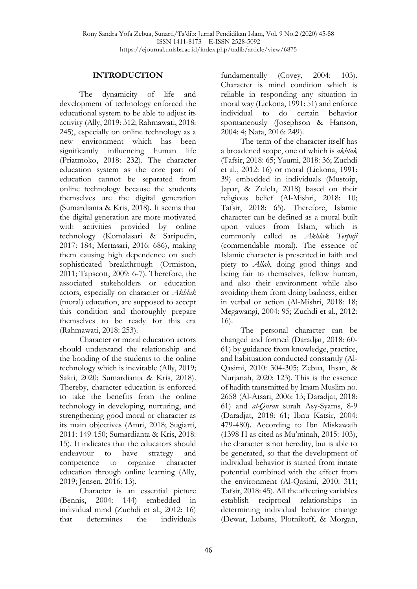#### **INTRODUCTION**

The dynamicity of life and development of technology enforced the educational system to be able to adjust its activity (Ally, 2019: 312; Rahmawati, 2018: 245), especially on online technology as a new environment which has been significantly influencing human life (Priatmoko, 2018: 232). The character education system as the core part of education cannot be separated from online technology because the students themselves are the digital generation (Sumardianta & Kris, 2018). It seems that the digital generation are more motivated with activities provided by online technology (Komalasari & Saripudin, 2017: 184; Mertasari, 2016: 686), making them causing high dependence on such sophisticated breakthrough (Ormiston, 2011; Tapscott, 2009: 6-7). Therefore, the associated stakeholders or education actors, especially on character or *Akhlak* (moral) education, are supposed to accept this condition and thoroughly prepare themselves to be ready for this era (Rahmawati, 2018: 253).

Character or moral education actors should understand the relationship and the bonding of the students to the online technology which is inevitable (Ally, 2019; Sakti, 2020; Sumardianta & Kris, 2018). Thereby, character education is enforced to take the benefits from the online technology in developing, nurturing, and strengthening good moral or character as its main objectives (Amri, 2018; Sugiarti, 2011: 149-150; Sumardianta & Kris, 2018: 15). It indicates that the educators should endeavour to have strategy and competence to organize character education through online learning (Ally, 2019; Jensen, 2016: 13).

Character is an essential picture (Bennis, 2004: 144) embedded in individual mind (Zuchdi et al., 2012: 16) that determines the individuals

fundamentally (Covey, 2004: 103). Character is mind condition which is reliable in responding any situation in moral way (Lickona, 1991: 51) and enforce individual to do certain behavior spontaneously (Josephson & Hanson, 2004: 4; Nata, 2016: 249).

The term of the character itself has a broadened scope, one of which is *akhlak* (Tafsir, 2018: 65; Yaumi, 2018: 36; Zuchdi et al., 2012: 16) or moral (Lickona, 1991: 39) embedded in individuals (Mustoip, Japar, & Zulela, 2018) based on their religious belief (Al-Mishri, 2018: 10; Tafsir, 2018: 65). Therefore, Islamic character can be defined as a moral built upon values from Islam, which is commonly called as *Akhlak Terpuji* (commendable moral). The essence of Islamic character is presented in faith and piety to *Allah*, doing good things and being fair to themselves, fellow human, and also their environment while also avoiding them from doing badness, either in verbal or action (Al-Mishri, 2018: 18; Megawangi, 2004: 95; Zuchdi et al., 2012: 16).

The personal character can be changed and formed (Daradjat, 2018: 60- 61) by guidance from knowledge, practice, and habituation conducted constantly (Al-Qasimi, 2010: 304-305; Zebua, Ihsan, & Nurjanah, 2020: 123). This is the essence of hadith transmitted by Imam Muslim no. 2658 (Al-Atsari, 2006: 13; Daradjat, 2018: 61) and *al-Quran* surah Asy-Syams, 8-9 (Daradjat, 2018: 61; Ibnu Katsir, 2004: 479-480). According to Ibn Miskawaih (1398 H as cited as Mu'minah, 2015: 103), the character is not heredity, but is able to be generated, so that the development of individual behavior is started from innate potential combined with the effect from the environment (Al-Qasimi, 2010: 311; Tafsir, 2018: 45). All the affecting variables establish reciprocal relationships in determining individual behavior change (Dewar, Lubans, Plotnikoff, & Morgan,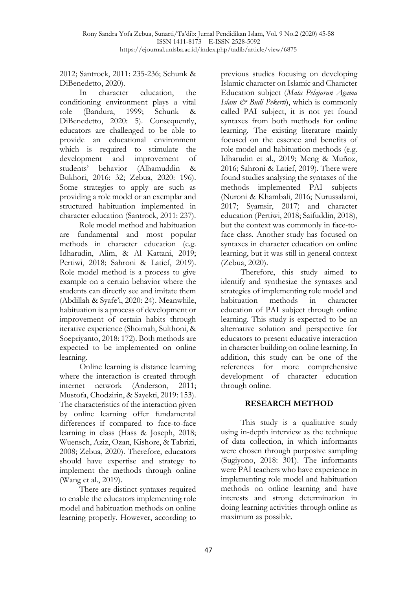2012; Santrock, 2011: 235-236; Schunk & DiBenedetto, 2020).

In character education, the conditioning environment plays a vital role (Bandura, 1999; Schunk & DiBenedetto, 2020: 5). Consequently, educators are challenged to be able to provide an educational environment which is required to stimulate the development and improvement of students' behavior (Alhamuddin & Bukhori, 2016: 32; Zebua, 2020: 196). Some strategies to apply are such as providing a role model or an exemplar and structured habituation implemented in character education (Santrock, 2011: 237).

Role model method and habituation are fundamental and most popular methods in character education (e.g. Idharudin, Alim, & Al Kattani, 2019; Pertiwi, 2018; Sahroni & Latief, 2019). Role model method is a process to give example on a certain behavior where the students can directly see and imitate them (Abdillah & Syafe'i, 2020: 24). Meanwhile, habituation is a process of development or improvement of certain habits through iterative experience (Shoimah, Sulthoni, & Soepriyanto, 2018: 172). Both methods are expected to be implemented on online learning.

Online learning is distance learning where the interaction is created through internet network (Anderson, 2011; Mustofa, Chodzirin, & Sayekti, 2019: 153). The characteristics of the interaction given by online learning offer fundamental differences if compared to face-to-face learning in class (Hass & Joseph, 2018; Wuensch, Aziz, Ozan, Kishore, & Tabrizi, 2008; Zebua, 2020). Therefore, educators should have expertise and strategy to implement the methods through online (Wang et al., 2019).

There are distinct syntaxes required to enable the educators implementing role model and habituation methods on online learning properly. However, according to previous studies focusing on developing Islamic character on Islamic and Character Education subject (*Mata Pelajaran Agama Islam & Budi Pekerti*), which is commonly called PAI subject, it is not yet found syntaxes from both methods for online learning. The existing literature mainly focused on the essence and benefits of role model and habituation methods (e.g. Idharudin et al., 2019; Meng & Muñoz, 2016; Sahroni & Latief, 2019). There were found studies analysing the syntaxes of the methods implemented PAI subjects (Nuroni & Khambali, 2016; Nurussalami, 2017; Syamsir, 2017) and character education (Pertiwi, 2018; Saifuddin, 2018), but the context was commonly in face-toface class. Another study has focused on syntaxes in character education on online learning, but it was still in general context (Zebua, 2020).

Therefore, this study aimed to identify and synthesize the syntaxes and strategies of implementing role model and habituation methods in character education of PAI subject through online learning. This study is expected to be an alternative solution and perspective for educators to present educative interaction in character building on online learning. In addition, this study can be one of the references for more comprehensive development of character education through online.

## **RESEARCH METHOD**

This study is a qualitative study using in-depth interview as the technique of data collection, in which informants were chosen through purposive sampling (Sugiyono, 2018: 301). The informants were PAI teachers who have experience in implementing role model and habituation methods on online learning and have interests and strong determination in doing learning activities through online as maximum as possible.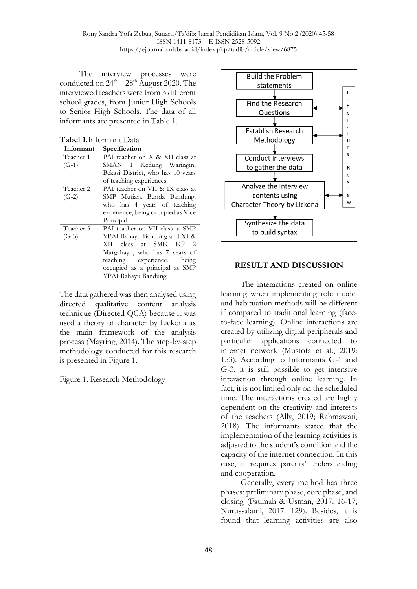The interview processes were conducted on  $24^{\text{th}} - 28^{\text{th}}$  August 2020. The interviewed teachers were from 3 different school grades, from Junior High Schools to Senior High Schools. The data of all informants are presented in Table 1.

**Tabel 1.**Informant Data

| Informant | Specification                      |
|-----------|------------------------------------|
| Teacher 1 | PAI teacher on X & XII class at    |
| $(G-1)$   | SMAN 1 Kedung Waringin,            |
|           | Bekasi District, who has 10 years  |
|           | of teaching experiences            |
| Teacher 2 | PAI teacher on VII & IX class at   |
| $(G-2)$   | SMP Mutiara Bunda Bandung,         |
|           | who has 4 years of teaching        |
|           | experience, being occupied as Vice |
|           | Principal                          |
| Teacher 3 | PAI teacher on VII class at SMP    |
| $(G-3)$   | YPAI Rahayu Bandung and XI &       |
|           | SMK<br>class at<br>KP<br>XП<br>2   |
|           | Margahayu, who has 7 years of      |
|           | teaching experience,<br>being      |
|           | occupied as a principal at SMP     |
|           | YPAI Rahayu Bandung                |

The data gathered was then analysed using directed qualitative content analysis technique (Directed QCA) because it was used a theory of character by Lickona as the main framework of the analysis process (Mayring, 2014). The step-by-step methodology conducted for this research is presented in Figure 1.

Figure 1. Research Methodology



## **RESULT AND DISCUSSION**

The interactions created on online learning when implementing role model and habituation methods will be different if compared to traditional learning (faceto-face learning). Online interactions are created by utilizing digital peripherals and particular applications connected to internet network (Mustofa et al., 2019: 153). According to Informants G-1 and G-3, it is still possible to get intensive interaction through online learning. In fact, it is not limited only on the scheduled time. The interactions created are highly dependent on the creativity and interests of the teachers (Ally, 2019; Rahmawati, 2018). The informants stated that the implementation of the learning activities is adjusted to the student's condition and the capacity of the internet connection. In this case, it requires parents' understanding and cooperation.

Generally, every method has three phases: preliminary phase, core phase, and closing (Fatimah & Usman, 2017: 16-17; Nurussalami, 2017: 129). Besides, it is found that learning activities are also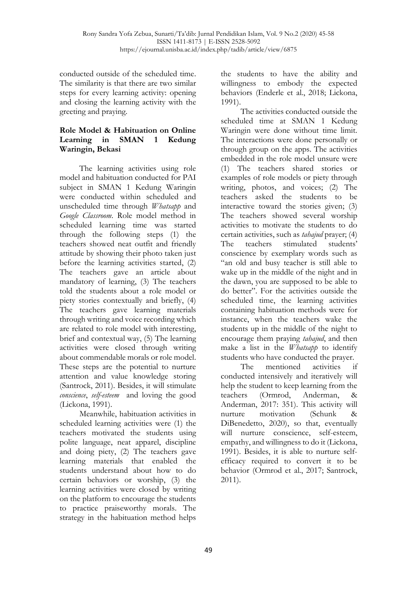conducted outside of the scheduled time. The similarity is that there are two similar steps for every learning activity: opening and closing the learning activity with the greeting and praying.

## **Role Model & Habituation on Online Learning in SMAN 1 Kedung Waringin, Bekasi**

The learning activities using role model and habituation conducted for PAI subject in SMAN 1 Kedung Waringin were conducted within scheduled and unscheduled time through *Whatsapp* and *Google Classroom*. Role model method in scheduled learning time was started through the following steps (1) the teachers showed neat outfit and friendly attitude by showing their photo taken just before the learning activities started, (2) The teachers gave an article about mandatory of learning, (3) The teachers told the students about a role model or piety stories contextually and briefly, (4) The teachers gave learning materials through writing and voice recording which are related to role model with interesting, brief and contextual way, (5) The learning activities were closed through writing about commendable morals or role model. These steps are the potential to nurture attention and value knowledge storing (Santrock, 2011). Besides, it will stimulate *conscience*, *self-esteem* and loving the good (Lickona, 1991).

Meanwhile, habituation activities in scheduled learning activities were (1) the teachers motivated the students using polite language, neat apparel, discipline and doing piety, (2) The teachers gave learning materials that enabled the students understand about how to do certain behaviors or worship, (3) the learning activities were closed by writing on the platform to encourage the students to practice praiseworthy morals. The strategy in the habituation method helps

the students to have the ability and willingness to embody the expected behaviors (Enderle et al., 2018; Lickona, 1991).

The activities conducted outside the scheduled time at SMAN 1 Kedung Waringin were done without time limit. The interactions were done personally or through group on the apps. The activities embedded in the role model unsure were (1) The teachers shared stories or examples of role models or piety through writing, photos, and voices; (2) The teachers asked the students to be interactive toward the stories given; (3) The teachers showed several worship activities to motivate the students to do certain activities, such as *tahajud* prayer; (4) The teachers stimulated students' conscience by exemplary words such as "an old and busy teacher is still able to wake up in the middle of the night and in the dawn, you are supposed to be able to do better". For the activities outside the scheduled time, the learning activities containing habituation methods were for instance, when the teachers wake the students up in the middle of the night to encourage them praying *tahajud*, and then make a list in the *Whatsapp* to identify students who have conducted the prayer.

The mentioned activities if conducted intensively and iteratively will help the student to keep learning from the teachers (Ormrod, Anderman, & Anderman, 2017: 351). This activity will nurture motivation (Schunk & DiBenedetto, 2020), so that, eventually will nurture conscience, self-esteem, empathy, and willingness to do it (Lickona, 1991). Besides, it is able to nurture selfefficacy required to convert it to be behavior (Ormrod et al., 2017; Santrock, 2011).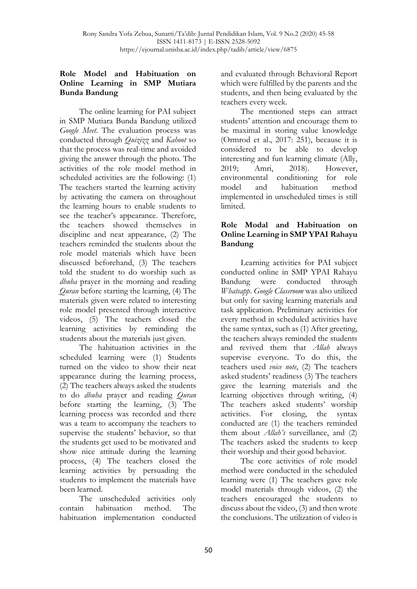#### **Role Model and Habituation on Online Learning in SMP Mutiara Bunda Bandung**

The online learning for PAI subject in SMP Mutiara Bunda Bandung utilized *Google Meet*. The evaluation process was conducted through *Quizizz* and *Kahoot* so that the process was real-time and avoided giving the answer through the photo. The activities of the role model method in scheduled activities are the following: (1) The teachers started the learning activity by activating the camera on throughout the learning hours to enable students to see the teacher's appearance. Therefore, the teachers showed themselves in discipline and neat appearance, (2) The teachers reminded the students about the role model materials which have been discussed beforehand, (3) The teachers told the student to do worship such as *dhuha* prayer in the morning and reading *Quran* before starting the learning, (4) The materials given were related to interesting role model presented through interactive videos, (5) The teachers closed the learning activities by reminding the students about the materials just given.

The habituation activities in the scheduled learning were (1) Students turned on the video to show their neat appearance during the learning process, (2) The teachers always asked the students to do *dhuha* prayer and reading *Quran* before starting the learning, (3) The learning process was recorded and there was a team to accompany the teachers to supervise the students' behavior, so that the students get used to be motivated and show nice attitude during the learning process, (4) The teachers closed the learning activities by persuading the students to implement the materials have been learned.

The unscheduled activities only contain habituation method. The habituation implementation conducted

and evaluated through Behavioral Report which were fulfilled by the parents and the students, and then being evaluated by the teachers every week.

The mentioned steps can attract students' attention and encourage them to be maximal in storing value knowledge (Ormrod et al., 2017: 251), because it is considered to be able to develop interesting and fun learning climate (Ally, 2019; Amri, 2018). However, environmental conditioning for role model and habituation method implemented in unscheduled times is still limited.

#### **Role Modal and Habituation on Online Learning in SMP YPAI Rahayu Bandung**

Learning activities for PAI subject conducted online in SMP YPAI Rahayu Bandung were conducted through *Whatsapp*. *Google Classroom* was also utilized but only for saving learning materials and task application. Preliminary activities for every method in scheduled activities have the same syntax, such as (1) After greeting, the teachers always reminded the students and revived them that *Allah* always supervise everyone. To do this, the teachers used *voice note*, (2) The teachers asked students' readiness (3) The teachers gave the learning materials and the learning objectives through writing, (4) The teachers asked students' worship activities. For closing, the syntax conducted are (1) the teachers reminded them about *Allah's* surveillance, and (2) The teachers asked the students to keep their worship and their good behavior.

The core activities of role model method were conducted in the scheduled learning were (1) The teachers gave role model materials through videos, (2) the teachers encouraged the students to discuss about the video, (3) and then wrote the conclusions. The utilization of video is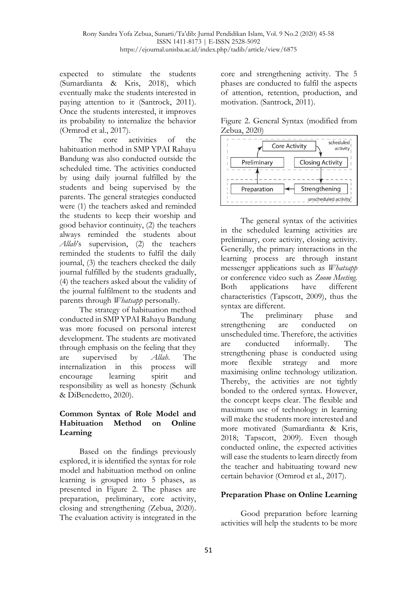expected to stimulate the students (Sumardianta & Kris, 2018), which eventually make the students interested in paying attention to it (Santrock, 2011). Once the students interested, it improves its probability to internalize the behavior (Ormrod et al., 2017).

The core activities of the habituation method in SMP YPAI Rahayu Bandung was also conducted outside the scheduled time. The activities conducted by using daily journal fulfilled by the students and being supervised by the parents. The general strategies conducted were (1) the teachers asked and reminded the students to keep their worship and good behavior continuity, (2) the teachers always reminded the students about *Allah*'s supervision, (2) the teachers reminded the students to fulfil the daily journal, (3) the teachers checked the daily journal fulfilled by the students gradually, (4) the teachers asked about the validity of the journal fulfilment to the students and parents through *Whatsapp* personally.

The strategy of habituation method conducted in SMP YPAI Rahayu Bandung was more focused on personal interest development. The students are motivated through emphasis on the feeling that they are supervised by *Allah*. The internalization in this process will encourage learning spirit and responsibility as well as honesty (Schunk & DiBenedetto, 2020).

#### **Common Syntax of Role Model and Habituation Method on Online Learning**

Based on the findings previously explored, it is identified the syntax for role model and habituation method on online learning is grouped into 5 phases, as presented in Figure 2. The phases are preparation, preliminary, core activity, closing and strengthening (Zebua, 2020). The evaluation activity is integrated in the

core and strengthening activity. The 5 phases are conducted to fulfil the aspects of attention, retention, production, and motivation. (Santrock, 2011).

| Figure 2. General Syntax (modified from |  |  |  |  |  |  |  |  |  |  |  |  |  |  |  |  |  |                              |  |
|-----------------------------------------|--|--|--|--|--|--|--|--|--|--|--|--|--|--|--|--|--|------------------------------|--|
| Zebua, 2020)                            |  |  |  |  |  |  |  |  |  |  |  |  |  |  |  |  |  |                              |  |
|                                         |  |  |  |  |  |  |  |  |  |  |  |  |  |  |  |  |  | ---------------------------- |  |



The general syntax of the activities in the scheduled learning activities are preliminary, core activity, closing activity. Generally, the primary interactions in the learning process are through instant messenger applications such as *Whatsapp* or conference video such as *Zoom Meeting.* Both applications have different characteristics (Tapscott, 2009), thus the syntax are different.

The preliminary phase and strengthening are conducted on unscheduled time. Therefore, the activities are conducted informally. The strengthening phase is conducted using more flexible strategy and more maximising online technology utilization. Thereby, the activities are not tightly bonded to the ordered syntax. However, the concept keeps clear. The flexible and maximum use of technology in learning will make the students more interested and more motivated (Sumardianta & Kris, 2018; Tapscott, 2009). Even though conducted online, the expected activities will ease the students to learn directly from the teacher and habituating toward new certain behavior (Ormrod et al., 2017).

# **Preparation Phase on Online Learning**

Good preparation before learning activities will help the students to be more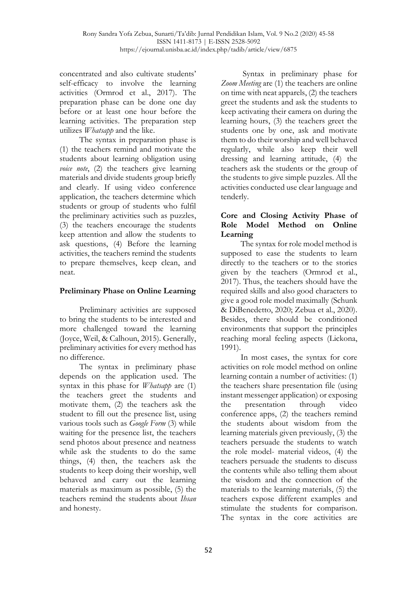concentrated and also cultivate students' self-efficacy to involve the learning activities (Ormrod et al., 2017). The preparation phase can be done one day before or at least one hour before the learning activities. The preparation step utilizes *Whatsapp* and the like.

The syntax in preparation phase is (1) the teachers remind and motivate the students about learning obligation using *voice note*, (2) the teachers give learning materials and divide students group briefly and clearly. If using video conference application, the teachers determine which students or group of students who fulfil the preliminary activities such as puzzles, (3) the teachers encourage the students keep attention and allow the students to ask questions, (4) Before the learning activities, the teachers remind the students to prepare themselves, keep clean, and neat.

#### **Preliminary Phase on Online Learning**

Preliminary activities are supposed to bring the students to be interested and more challenged toward the learning (Joyce, Weil, & Calhoun, 2015). Generally, preliminary activities for every method has no difference.

The syntax in preliminary phase depends on the application used. The syntax in this phase for *Whatsapp* are (1) the teachers greet the students and motivate them, (2) the teachers ask the student to fill out the presence list, using various tools such as *Google Form* (3) while waiting for the presence list, the teachers send photos about presence and neatness while ask the students to do the same things, (4) then, the teachers ask the students to keep doing their worship, well behaved and carry out the learning materials as maximum as possible, (5) the teachers remind the students about *Ihsan* and honesty.

Syntax in preliminary phase for *Zoom Meeting* are (1) the teachers are online on time with neat apparels, (2) the teachers greet the students and ask the students to keep activating their camera on during the learning hours, (3) the teachers greet the students one by one, ask and motivate them to do their worship and well behaved regularly, while also keep their well dressing and learning attitude, (4) the teachers ask the students or the group of the students to give simple puzzles. All the activities conducted use clear language and tenderly.

#### **Core and Closing Activity Phase of Role Model Method on Online Learning**

The syntax for role model method is supposed to ease the students to learn directly to the teachers or to the stories given by the teachers (Ormrod et al., 2017). Thus, the teachers should have the required skills and also good characters to give a good role model maximally (Schunk & DiBenedetto, 2020; Zebua et al., 2020). Besides, there should be conditioned environments that support the principles reaching moral feeling aspects (Lickona, 1991).

In most cases, the syntax for core activities on role model method on online learning contain a number of activities: (1) the teachers share presentation file (using instant messenger application) or exposing the presentation through video conference apps, (2) the teachers remind the students about wisdom from the learning materials given previously, (3) the teachers persuade the students to watch the role model- material videos, (4) the teachers persuade the students to discuss the contents while also telling them about the wisdom and the connection of the materials to the learning materials, (5) the teachers expose different examples and stimulate the students for comparison. The syntax in the core activities are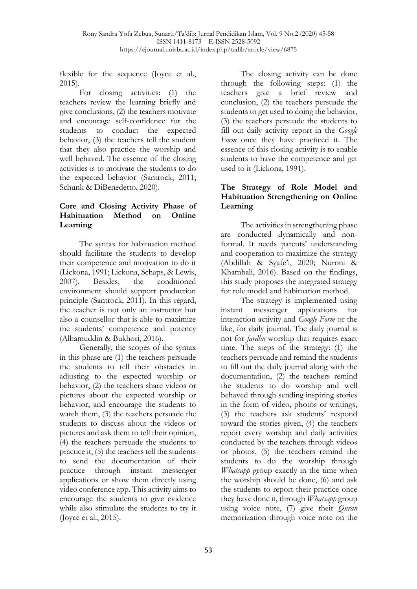flexible for the sequence (Joyce et al., 2015).

For closing activities: (1) the teachers review the learning briefly and give conclusions, (2) the teachers motivate and encourage self-confidence for the students to conduct the expected behavior, (3) the teachers tell the student that they also practice the worship and well behaved. The essence of the closing activities is to motivate the students to do the expected behavior (Santrock, 2011; Schunk & DiBenedetto, 2020).

## **Core and Closing Activity Phase of Habituation Method on Online Learning**

The syntax for habituation method should facilitate the students to develop their competence and motivation to do it (Lickona, 1991; Lickona, Schaps, & Lewis, 2007). Besides, the conditioned environment should support production principle (Santrock, 2011). In this regard, the teacher is not only an instructor but also a counsellor that is able to maximize the students' competence and potency (Alhamuddin & Bukhori, 2016).

Generally, the scopes of the syntax in this phase are (1) the teachers persuade the students to tell their obstacles in adjusting to the expected worship or behavior, (2) the teachers share videos or pictures about the expected worship or behavior, and encourage the students to watch them, (3) the teachers persuade the students to discuss about the videos or pictures and ask them to tell their opinion, (4) the teachers persuade the students to practice it, (5) the teachers tell the students to send the documentation of their practice through instant messenger applications or show them directly using video conference app. This activity aims to encourage the students to give evidence while also stimulate the students to try it (Joyce et al., 2015).

The closing activity can be done through the following steps: (1) the teachers give a brief review and conclusion, (2) the teachers persuade the students to get used to doing the behavior, (3) the teachers persuade the students to fill out daily activity report in the *Google Form* once they have practiced it. The essence of this closing activity is to enable students to have the competence and get used to it (Lickona, 1991).

## **The Strategy of Role Model and Habituation Strengthening on Online Learning**

The activities in strengthening phase are conducted dynamically and nonformal. It needs parents' understanding and cooperation to maximize the strategy (Abdillah & Syafe'i, 2020; Nuroni & Khambali, 2016). Based on the findings, this study proposes the integrated strategy for role model and habituation method.

The strategy is implemented using instant messenger applications for interaction activity and *Google Form* or the like, for daily journal. The daily journal is not for *fardhu* worship that requires exact time. The steps of the strategy: (1) the teachers persuade and remind the students to fill out the daily journal along with the documentation, (2) the teachers remind the students to do worship and well behaved through sending inspiring stories in the form of video, photos or writings, (3) the teachers ask students' respond toward the stories given, (4) the teachers report every worship and daily activities conducted by the teachers through videos or photos, (5) the teachers remind the students to do the worship through *Whatsapp* group exactly in the time when the worship should be done, (6) and ask the students to report their practice once they have done it, through *Whatsapp* group using voice note, (7) give their *Quran* memorization through voice note on the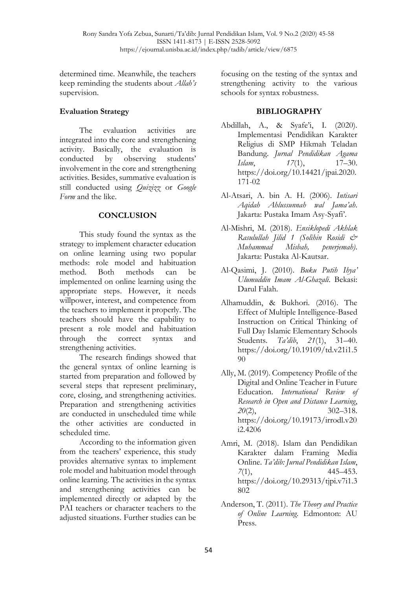determined time. Meanwhile, the teachers keep reminding the students about *Allah's* supervision.

## **Evaluation Strategy**

The evaluation activities are integrated into the core and strengthening activity. Basically, the evaluation is conducted by observing students' involvement in the core and strengthening activities. Besides, summative evaluation is still conducted using *Quizizz* or *Google Form* and the like.

## **CONCLUSION**

This study found the syntax as the strategy to implement character education on online learning using two popular methods: role model and habituation method. Both methods can be implemented on online learning using the appropriate steps. However, it needs willpower, interest, and competence from the teachers to implement it properly. The teachers should have the capability to present a role model and habituation through the correct syntax and strengthening activities.

The research findings showed that the general syntax of online learning is started from preparation and followed by several steps that represent preliminary, core, closing, and strengthening activities. Preparation and strengthening activities are conducted in unscheduled time while the other activities are conducted in scheduled time.

According to the information given from the teachers' experience, this study provides alternative syntax to implement role model and habituation model through online learning. The activities in the syntax and strengthening activities can be implemented directly or adapted by the PAI teachers or character teachers to the adjusted situations. Further studies can be focusing on the testing of the syntax and strengthening activity to the various schools for syntax robustness.

#### **BIBLIOGRAPHY**

- Abdillah, A., & Syafe'i, I. (2020). Implementasi Pendidikan Karakter Religius di SMP Hikmah Teladan Bandung. *Jurnal Pendidikan Agama Islam*, *17*(1), 17–30. https://doi.org/10.14421/jpai.2020. 171-02
- Al-Atsari, A. bin A. H. (2006). *Intisari Aqidah Ahlussunnah wal Jama'ah*. Jakarta: Pustaka Imam Asy-Syafi'.
- Al-Mishri, M. (2018). *Ensiklopedi Akhlak Rasulullah Jilid 1 (Solihin Rosidi & Muhammad Misbah, penerjemah)*. Jakarta: Pustaka Al-Kautsar.
- Al-Qasimi, J. (2010). *Buku Putih Ihya' Ulumuddin Imam Al-Ghazali*. Bekasi: Darul Falah.
- Alhamuddin, & Bukhori. (2016). The Effect of Multiple Intelligence-Based Instruction on Critical Thinking of Full Day Islamic Elementary Schools Students. *Ta'dib*, *21*(1), 31–40. https://doi.org/10.19109/td.v21i1.5 90
- Ally, M. (2019). Competency Profile of the Digital and Online Teacher in Future Education. *International Review of Research in Open and Distance Learning*, *20*(2), 302–318. https://doi.org/10.19173/irrodl.v20 i2.4206
- Amri, M. (2018). Islam dan Pendidikan Karakter dalam Framing Media Online. *Ta'dib: Jurnal Pendidikan Islam*, *7*(1), 445–453. https://doi.org/10.29313/tjpi.v7i1.3 802
- Anderson, T. (2011). *The Theory and Practice of Online Learning*. Edmonton: AU Press.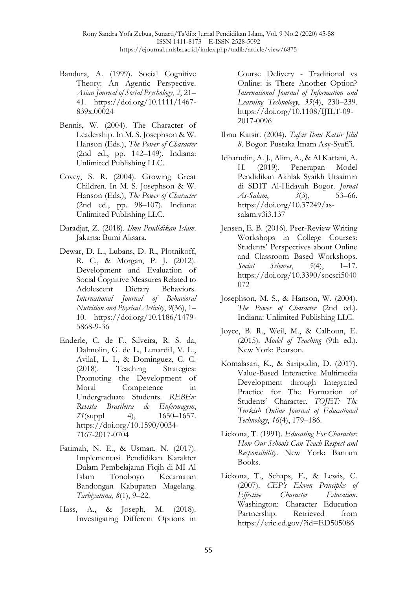- Bandura, A. (1999). Social Cognitive Theory: An Agentic Perspective. *Asian Journal of Social Psychology*, *2*, 21– 41. https://doi.org/10.1111/1467- 839x.00024
- Bennis, W. (2004). The Character of Leadership. In M. S. Josephson & W. Hanson (Eds.), *The Power of Character* (2nd ed., pp. 142–149). Indiana: Unlimited Publishing LLC.
- Covey, S. R. (2004). Growing Great Children. In M. S. Josephson & W. Hanson (Eds.), *The Power of Character* (2nd ed., pp. 98–107). Indiana: Unlimited Publishing LLC.
- Daradjat, Z. (2018). *Ilmu Pendidikan Islam*. Jakarta: Bumi Aksara.
- Dewar, D. L., Lubans, D. R., Plotnikoff, R. C., & Morgan, P. J. (2012). Development and Evaluation of Social Cognitive Measures Related to Adolescent Dietary Behaviors. *International Journal of Behavioral Nutrition and Physical Activity*, *9*(36), 1– 10. https://doi.org/10.1186/1479- 5868-9-36
- Enderle, C. de F., Silveira, R. S. da, Dalmolin, G. de L., LunardiI, V. L., AvilaI, L. I., & Dominguez, C. C. (2018). Teaching Strategies: Promoting the Development of Moral Competence in Undergraduate Students. *REBEn: Revista Brasileira de Enfermagem*, *71*(suppl 4), 1650–1657. https://doi.org/10.1590/0034- 7167-2017-0704
- Fatimah, N. E., & Usman, N. (2017). Implementasi Pendidikan Karakter Dalam Pembelajaran Fiqih di MI Al Islam Tonoboyo Kecamatan Bandongan Kabupaten Magelang. *Tarbiyatuna*, *8*(1), 9–22.
- Hass, A., & Joseph, M. (2018). Investigating Different Options in

Course Delivery - Traditional vs Online: is There Another Option? *International Journal of Information and Learning Technology*, *35*(4), 230–239. https://doi.org/10.1108/IJILT-09- 2017-0096

- Ibnu Katsir. (2004). *Tafsir Ibnu Katsir Jilid 8*. Bogor: Pustaka Imam Asy-Syafi'i.
- Idharudin, A. J., Alim, A., & Al Kattani, A. H. (2019). Penerapan Model Pendidikan Akhlak Syaikh Utsaimin di SDIT Al-Hidayah Bogor. *Jurnal As-Salam*, *3*(3), 53–66. https://doi.org/10.37249/assalam.v3i3.137
- Jensen, E. B. (2016). Peer-Review Writing Workshops in College Courses: Students' Perspectives about Online and Classroom Based Workshops. *Social Sciences*, *5*(4), 1–17. https://doi.org/10.3390/socsci5040 072
- Josephson, M. S., & Hanson, W. (2004). *The Power of Character* (2nd ed.). Indiana: Unlimited Publishing LLC.
- Joyce, B. R., Weil, M., & Calhoun, E. (2015). *Model of Teaching* (9th ed.). New York: Pearson.
- Komalasari, K., & Saripudin, D. (2017). Value-Based Interactive Multimedia Development through Integrated Practice for The Formation of Students' Character. *TOJET: The Turkish Online Journal of Educational Technology*, *16*(4), 179–186.
- Lickona, T. (1991). *Educating For Character: How Our Schools Can Teach Respect and Responsibility*. New York: Bantam Books.
- Lickona, T., Schaps, E., & Lewis, C. (2007). *CEP's Eleven Principles of Effective Character Education*. Washington: Character Education Partnership. Retrieved from https://eric.ed.gov/?id=ED505086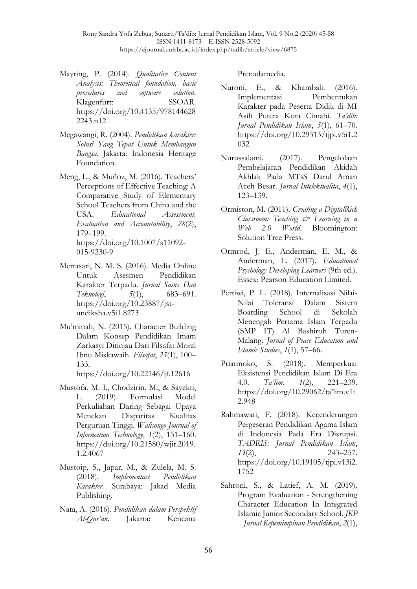- Mayring, P. (2014). *Qualitative Content Analysis: Theoretical foundation, basic procedures and software solution*. Klagenfurt: SSOAR. https://doi.org/10.4135/978144628 2243.n12
- Megawangi, R. (2004). *Pendidikan karakter: Solusi Yang Tepat Untuk Membangun Bangsa*. Jakarta: Indonesia Heritage Foundation.
- Meng, L., & Muñoz, M. (2016). Teachers' Perceptions of Effective Teaching: A Comparative Study of Elementary School Teachers from China and the USA. *Educational Assessment, Evaluation and Accountability*, *28*(2), 179–199. https://doi.org/10.1007/s11092- 015-9230-9
- Mertasari, N. M. S. (2016). Media Online Untuk Asesmen Pendidikan Karakter Terpadu. *Jurnal Sains Dan Teknologi*, *5*(1), 683–691. https://doi.org/10.23887/jstundiksha.v5i1.8273
- Mu'minah, N. (2015). Character Building Dalam Konsep Pendidikan Imam Zarkasyi Ditinjau Dari Filsafat Moral Ibnu Miskawaih. *Filsafat*, *25*(1), 100– 133.

https://doi.org/10.22146/jf.12616

- Mustofa, M. I., Chodzirin, M., & Sayekti, L. (2019). Formulasi Model Perkuliahan Daring Sebagai Upaya Menekan Disparitas Kualitas Perguruan Tinggi. *Walisongo Journal of Information Technology*, *1*(2), 151–160. https://doi.org/10.21580/wjit.2019. 1.2.4067
- Mustoip, S., Japar, M., & Zulela, M. S. (2018). *Implementasi Pendidikan Karakter*. Surabaya: Jakad Media Publishing.
- Nata, A. (2016). *Pendidikan dalam Perspektif Al-Qur'an*. Jakarta: Kencana

Prenadamedia.

- Nuroni, E., & Khambali. (2016). Implementasi Pembentukan Karakter pada Peserta Didik di MI Asih Putera Kota Cimahi. *Ta'dib: Jurnal Pendidikan Islam*, *5*(1), 61–70. https://doi.org/10.29313/tjpi.v5i1.2 032
- Nurussalami. (2017). Pengelolaan Pembelajaran Pendidikan Akidah Akhlak Pada MTsS Darul Aman Aceh Besar. *Jurnal Intelektualita*, *4*(1), 123–139.
- Ormiston, M. (2011). *Creating a DigitalRich Classroom: Teaching & Learning in a Web 2.0 World*. Bloomington: Solution Tree Press.
- Ormrod, J. E., Anderman, E. M., & Anderman, L. (2017). *Educational Psychology Developing Learners* (9th ed.). Essex: Pearson Education Limited.
- Pertiwi, P. L. (2018). Internalisasi Nilai-Nilai Toleransi Dalam Sistem Boarding School di Sekolah Menengah Pertama Islam Terpadu (SMP IT) Al Bashiroh Turen-Malang. *Jurnal of Peace Education and Islamic Studies*, *1*(1), 57–66.
- Priatmoko, S. (2018). Memperkuat Eksistensi Pendidikan Islam Di Era 4.0. *Ta'lim*, *1*(2), 221–239. https://doi.org/10.29062/ta'lim.v1i 2.948
- Rahmawati, F. (2018). Kecenderungan Pergeseran Pendidikan Agama Islam di Indonesia Pada Era Disrupsi. *TADRIS: Jurnal Pendidikan Islam*, *13*(2), 243–257. https://doi.org/10.19105/tjpi.v13i2. 1752
- Sahroni, S., & Latief, A. M. (2019). Program Evaluation - Strengthening Character Education In Integrated Islamic Junior Secondary School. *JKP | Jurnal Kepemimpinan Pendidikan*, *2*(1),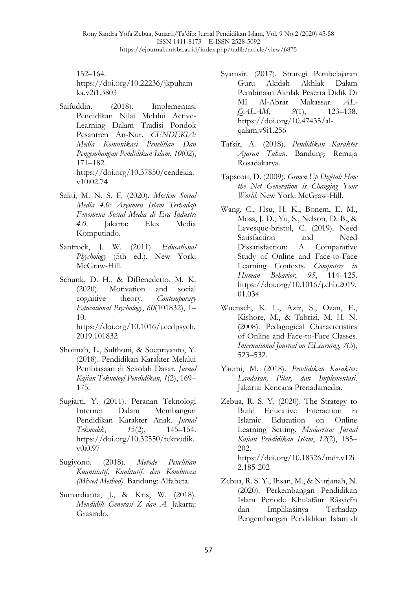Rony Sandra Yofa Zebua, Sunarti/Ta'dib: Jurnal Pendidikan Islam, Vol. 9 No.2 (2020) 45-58 ISSN 1411-8173 | E-ISSN 2528-5092 https://ejournal.unisba.ac.id/index.php/tadib/article/view/6875

152–164. https://doi.org/10.22236/jkpuham ka.v2i1.3803

- Saifuddin. (2018). Implementasi Pendidikan Nilai Melalui Active-Learning Dalam Tradisi Pondok Pesantren An-Nur. *CENDEKIA: Media Komunikasi Penelitian Dan Pengembangan Pendidikan Islam*, *10*(02), 171–182. https://doi.org/10.37850/cendekia. v10i02.74
- Sakti, M. N. S. F. (2020). *Moslem Social Media 4.0: Argumen Islam Terhadap Fenomena Sosial Media di Era Industri 4.0*. Jakarta: Elex Media Komputindo.
- Santrock, J. W. (2011). *Educational Phychology* (5th ed.). New York: McGraw-Hill.
- Schunk, D. H., & DiBenedetto, M. K. (2020). Motivation and social cognitive theory. *Contemporary Educational Psychology*, *60*(101832), 1– 10. https://doi.org/10.1016/j.cedpsych.

2019.101832

- Shoimah, L., Sulthoni, & Soepriyanto, Y. (2018). Pendidikan Karakter Melalui Pembiasaan di Sekolah Dasar. *Jurnal Kajian Teknologi Pendidikan*, *1*(2), 169– 175.
- Sugiarti, Y. (2011). Peranan Teknologi Internet Dalam Membangun Pendidikan Karakter Anak. *Jurnal Teknodik*, *15*(2), 145–154. https://doi.org/10.32550/teknodik. v0i0.97
- Sugiyono. (2018). *Metode Penelitian Kuantitatif, Kualitatif, dan Kombinasi (Mixed Method)*. Bandung: Alfabeta.
- Sumardianta, J., & Kris, W. (2018). *Mendidik Generasi Z dan A.* Jakarta: Grasindo.
- Syamsir. (2017). Strategi Pembelajaran Guru Akidah Akhlak Dalam Pembinaan Akhlak Peserta Didik Di MI Al-Abrar Makassar. *AL-QALAM*, *9*(1), 123–138. https://doi.org/10.47435/alqalam.v9i1.256
- Tafsir, A. (2018). *Pendidikan Karakter Ajaran Tuhan*. Bandung: Remaja Rosadakarya.
- Tapscott, D. (2009). *Grown Up Digital: How the Net Generation is Changing Your World*. New York: McGraw-Hill.
- Wang, C., Hsu, H. K., Bonem, E. M., Moss, J. D., Yu, S., Nelson, D. B., & Levesque-bristol, C. (2019). Need Satisfaction and Need Dissatisfaction: A Comparative Study of Online and Face-to-Face Learning Contexts. *Computers in Human Behavior*, *95*, 114–125. https://doi.org/10.1016/j.chb.2019. 01.034
- Wuensch, K. L., Aziz, S., Ozan, E., Kishore, M., & Tabrizi, M. H. N. (2008). Pedagogical Characteristics of Online and Face-to-Face Classes. *International Journal on ELearning*, *7*(3), 523–532.
- Yaumi, M. (2018). *Pendidikan Karakter: Landasan, Pilar, dan Implementasi*. Jakarta: Kencana Prenadamedia.
- Zebua, R. S. Y. (2020). The Strategy to Build Educative Interaction in Islamic Education on Online Learning Setting. *Mudarrisa: Jurnal Kajian Pendidikan Islam*, *12*(2), 185– 202. https://doi.org/10.18326/mdr.v12i 2.185-202
- Zebua, R. S. Y., Ihsan, M., & Nurjanah, N. (2020). Perkembangan Pendidikan Islam Periode Khulafāur Rāsyidīn dan Implikasinya Terhadap Pengembangan Pendidikan Islam di